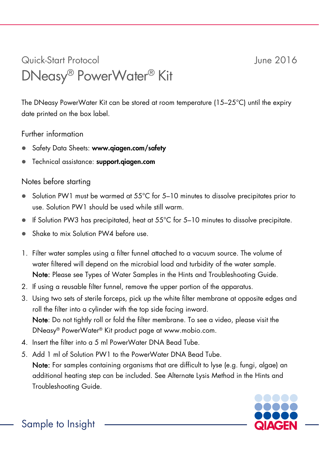## Quick-Start Protocol June 2016 DNeasy® PowerWater® Kit

The DNeasy PowerWater Kit can be stored at room temperature (15–25°C) until the expiry date printed on the box label.

## Further information

- Safety Data Sheets: www.giagen.com/safety
- **Technical assistance: support.aiagen.com**

## Notes before starting

- Solution PW1 must be warmed at 55°C for 5–10 minutes to dissolve precipitates prior to use. Solution PW1 should be used while still warm.
- $\bullet$  If Solution PW3 has precipitated, heat at 55 $^{\circ}$ C for 5-10 minutes to dissolve precipitate.
- Shake to mix Solution PW4 before use.
- 1. Filter water samples using a filter funnel attached to a vacuum source. The volume of water filtered will depend on the microbial load and turbidity of the water sample. Note: Please see Types of Water Samples in the Hints and Troubleshooting Guide.
- 2. If using a reusable filter funnel, remove the upper portion of the apparatus.
- 3. Using two sets of sterile forceps, pick up the white filter membrane at opposite edges and roll the filter into a cylinder with the top side facing inward. Note: Do not tightly roll or fold the filter membrane. To see a video, please visit the DNeasy® PowerWater® Kit product page at www.mobio.com.
- 4. Insert the filter into a 5 ml PowerWater DNA Bead Tube.
- 5. Add 1 ml of Solution PW1 to the PowerWater DNA Bead Tube.

Note: For samples containing organisms that are difficult to lyse (e.g. fungi, algae) an additional heating step can be included. See Alternate Lysis Method in the Hints and Troubleshooting Guide.